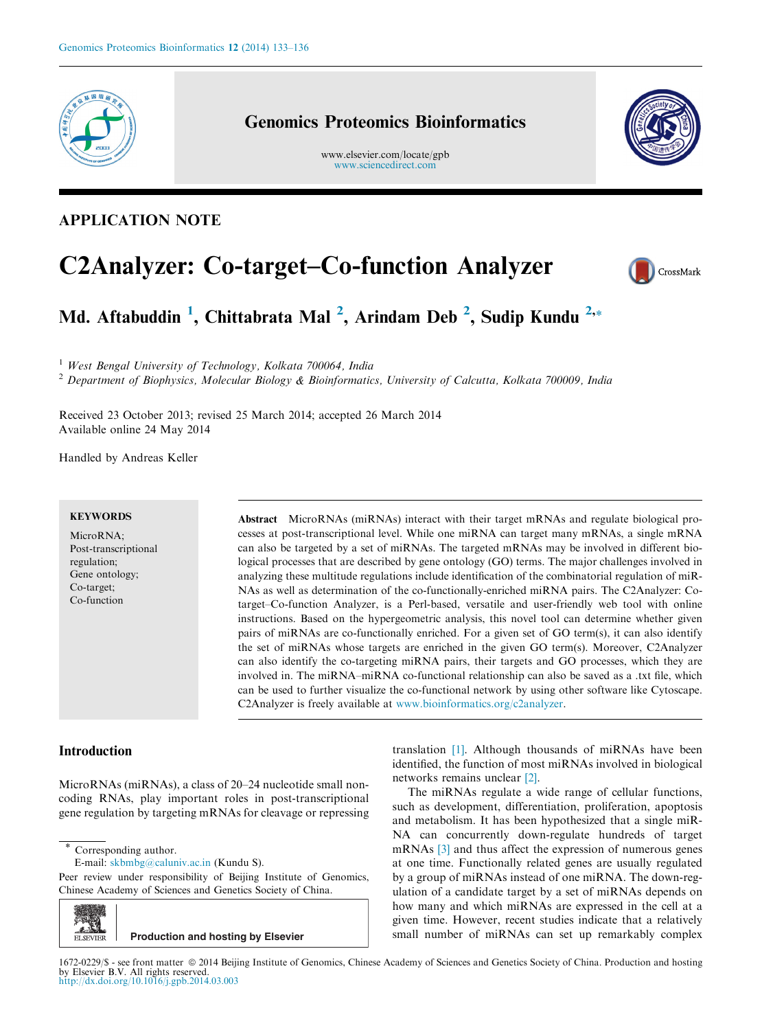

# Genomics Proteomics Bioinformatics

www.elsevier.com/locate/gpb [www.sciencedirect.com](http://www.sciencedirect.com)



# APPLICATION NOTE

# C2Analyzer: Co-target–Co-function Analyzer



# Md. Aftabuddin <sup>1</sup>, Chittabrata Mal <sup>2</sup>, Arindam Deb <sup>2</sup>, Sudip Kundu <sup>2,</sup>\*

<sup>1</sup> West Bengal University of Technology, Kolkata 700064, India

<sup>2</sup> Department of Biophysics, Molecular Biology & Bioinformatics, University of Calcutta, Kolkata 700009, India

Received 23 October 2013; revised 25 March 2014; accepted 26 March 2014 Available online 24 May 2014

Handled by Andreas Keller

#### **KEYWORDS**

MicroRNA; Post-transcriptional regulation; Gene ontology; Co-target; Co-function

Abstract MicroRNAs (miRNAs) interact with their target mRNAs and regulate biological processes at post-transcriptional level. While one miRNA can target many mRNAs, a single mRNA can also be targeted by a set of miRNAs. The targeted mRNAs may be involved in different biological processes that are described by gene ontology (GO) terms. The major challenges involved in analyzing these multitude regulations include identification of the combinatorial regulation of miR-NAs as well as determination of the co-functionally-enriched miRNA pairs. The C2Analyzer: Cotarget–Co-function Analyzer, is a Perl-based, versatile and user-friendly web tool with online instructions. Based on the hypergeometric analysis, this novel tool can determine whether given pairs of miRNAs are co-functionally enriched. For a given set of GO term(s), it can also identify the set of miRNAs whose targets are enriched in the given GO term(s). Moreover, C2Analyzer can also identify the co-targeting miRNA pairs, their targets and GO processes, which they are involved in. The miRNA–miRNA co-functional relationship can also be saved as a .txt file, which can be used to further visualize the co-functional network by using other software like Cytoscape. C2Analyzer is freely available at [www.bioinformatics.org/c2analyzer](http://www.bioinformatics.org/c2analyzer).

# Introduction

MicroRNAs (miRNAs), a class of 20–24 nucleotide small noncoding RNAs, play important roles in post-transcriptional gene regulation by targeting mRNAs for cleavage or repressing

Corresponding author.

E-mail: [skbmbg@caluniv.ac.in](mailto:skbmbg@caluniv.ac.in) (Kundu S).

Peer review under responsibility of Beijing Institute of Genomics, Chinese Academy of Sciences and Genetics Society of China.

E SEVIER **Production and hosting by Elsevier** translation [\[1\].](#page-3-0) Although thousands of miRNAs have been identified, the function of most miRNAs involved in biological networks remains unclear [\[2\].](#page-3-0)

The miRNAs regulate a wide range of cellular functions, such as development, differentiation, proliferation, apoptosis and metabolism. It has been hypothesized that a single miR-NA can concurrently down-regulate hundreds of target mRNAs [\[3\]](#page-3-0) and thus affect the expression of numerous genes at one time. Functionally related genes are usually regulated by a group of miRNAs instead of one miRNA. The down-regulation of a candidate target by a set of miRNAs depends on how many and which miRNAs are expressed in the cell at a given time. However, recent studies indicate that a relatively small number of miRNAs can set up remarkably complex

1672-0229/\$ - see front matter © 2014 Beijing Institute of Genomics, Chinese Academy of Sciences and Genetics Society of China. Production and hosting by Elsevier B.V. All rights reserved. <http://dx.doi.org/10.1016/j.gpb.2014.03.003>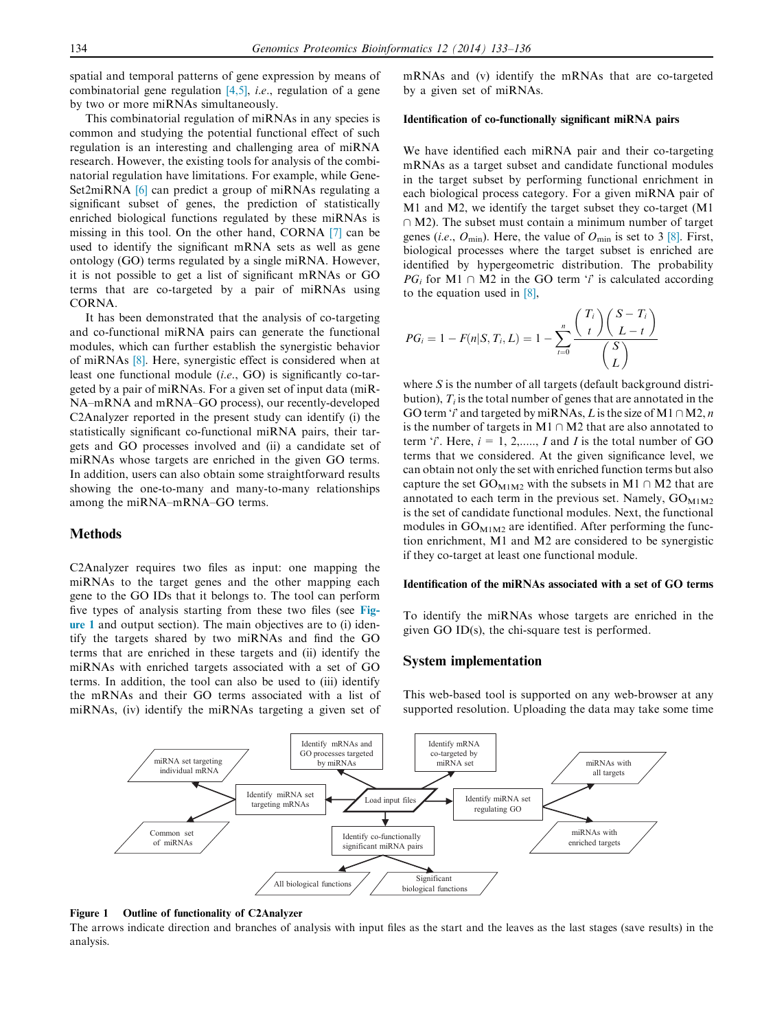spatial and temporal patterns of gene expression by means of combinatorial gene regulation  $[4,5]$ , *i.e.*, regulation of a gene by two or more miRNAs simultaneously.

This combinatorial regulation of miRNAs in any species is common and studying the potential functional effect of such regulation is an interesting and challenging area of miRNA research. However, the existing tools for analysis of the combinatorial regulation have limitations. For example, while Gene-Set2miRNA [\[6\]](#page-3-0) can predict a group of miRNAs regulating a significant subset of genes, the prediction of statistically enriched biological functions regulated by these miRNAs is missing in this tool. On the other hand, CORNA [\[7\]](#page-3-0) can be used to identify the significant mRNA sets as well as gene ontology (GO) terms regulated by a single miRNA. However, it is not possible to get a list of significant mRNAs or GO terms that are co-targeted by a pair of miRNAs using CORNA.

It has been demonstrated that the analysis of co-targeting and co-functional miRNA pairs can generate the functional modules, which can further establish the synergistic behavior of miRNAs [\[8\].](#page-3-0) Here, synergistic effect is considered when at least one functional module (i.e., GO) is significantly co-targeted by a pair of miRNAs. For a given set of input data (miR-NA–mRNA and mRNA–GO process), our recently-developed C2Analyzer reported in the present study can identify (i) the statistically significant co-functional miRNA pairs, their targets and GO processes involved and (ii) a candidate set of miRNAs whose targets are enriched in the given GO terms. In addition, users can also obtain some straightforward results showing the one-to-many and many-to-many relationships among the miRNA–mRNA–GO terms.

# Methods

C2Analyzer requires two files as input: one mapping the miRNAs to the target genes and the other mapping each gene to the GO IDs that it belongs to. The tool can perform five types of analysis starting from these two files (see Figure 1 and output section). The main objectives are to (i) identify the targets shared by two miRNAs and find the GO terms that are enriched in these targets and (ii) identify the miRNAs with enriched targets associated with a set of GO terms. In addition, the tool can also be used to (iii) identify the mRNAs and their GO terms associated with a list of miRNAs, (iv) identify the miRNAs targeting a given set of mRNAs and (v) identify the mRNAs that are co-targeted by a given set of miRNAs.

#### Identification of co-functionally significant miRNA pairs

We have identified each miRNA pair and their co-targeting mRNAs as a target subset and candidate functional modules in the target subset by performing functional enrichment in each biological process category. For a given miRNA pair of M1 and M2, we identify the target subset they co-target (M1  $\cap$  M2). The subset must contain a minimum number of target genes (*i.e.*,  $O_{\text{min}}$ ). Here, the value of  $O_{\text{min}}$  is set to 3 [\[8\].](#page-3-0) First, biological processes where the target subset is enriched are identified by hypergeometric distribution. The probability  $PG_i$  for M1  $\cap$  M2 in the GO term 'i' is calculated according to the equation used in [\[8\]](#page-3-0),

$$
PG_{i} = 1 - F(n|S, T_{i}, L) = 1 - \sum_{t=0}^{n} \frac{\binom{T_{i}}{t}\binom{S - T_{i}}{L - t}}{\binom{S}{L}}
$$

where S is the number of all targets (default background distribution),  $T<sub>i</sub>$  is the total number of genes that are annotated in the GO term 'i' and targeted by miRNAs, L is the size of M1  $\cap$  M2, n is the number of targets in  $M1 \cap M2$  that are also annotated to term '*i*'. Here,  $i = 1, 2, \dots, I$  and *I* is the total number of GO terms that we considered. At the given significance level, we can obtain not only the set with enriched function terms but also capture the set  $GO_{M1M2}$  with the subsets in M1  $\cap$  M2 that are annotated to each term in the previous set. Namely,  $GO_{M1M2}$ is the set of candidate functional modules. Next, the functional modules in  $GO_{M1M2}$  are identified. After performing the function enrichment, M1 and M2 are considered to be synergistic if they co-target at least one functional module.

# Identification of the miRNAs associated with a set of GO terms

To identify the miRNAs whose targets are enriched in the given GO ID(s), the chi-square test is performed.

#### System implementation

This web-based tool is supported on any web-browser at any supported resolution. Uploading the data may take some time





The arrows indicate direction and branches of analysis with input files as the start and the leaves as the last stages (save results) in the analysis.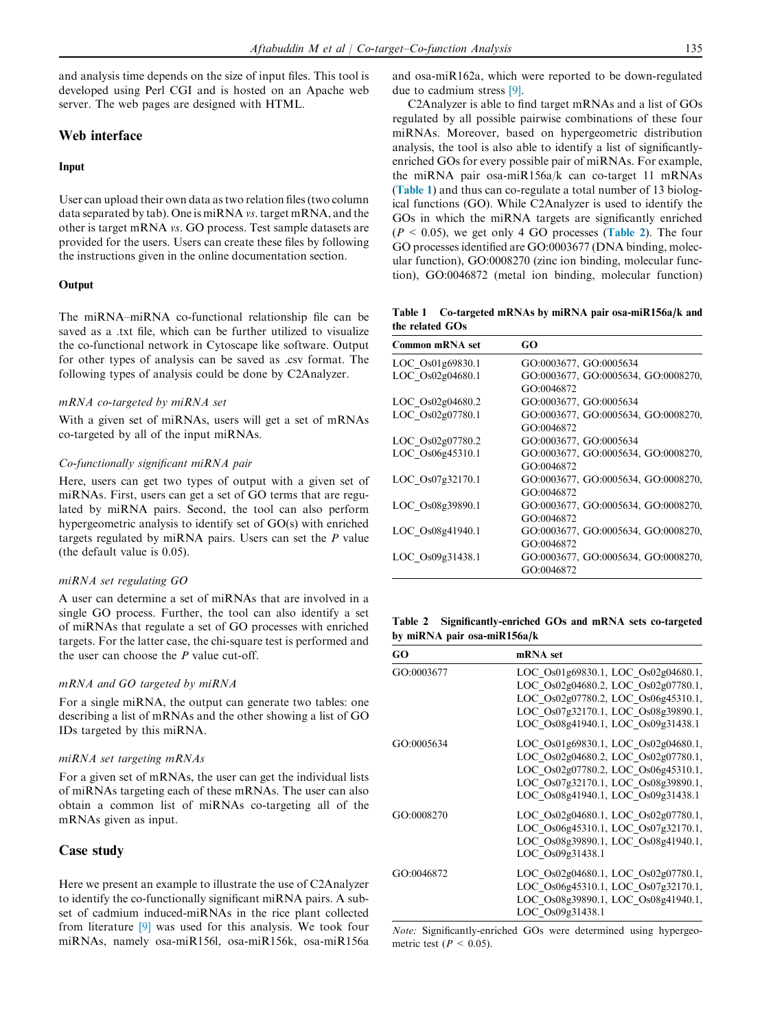and analysis time depends on the size of input files. This tool is developed using Perl CGI and is hosted on an Apache web server. The web pages are designed with HTML.

# Web interface

# Input

User can upload their own data as two relation files (two column data separated by tab). One is miRNA vs. target mRNA, and the other is target mRNA vs. GO process. Test sample datasets are provided for the users. Users can create these files by following the instructions given in the online documentation section.

#### **Output**

The miRNA–miRNA co-functional relationship file can be saved as a .txt file, which can be further utilized to visualize the co-functional network in Cytoscape like software. Output for other types of analysis can be saved as .csv format. The following types of analysis could be done by C2Analyzer.

#### mRNA co-targeted by miRNA set

With a given set of miRNAs, users will get a set of mRNAs co-targeted by all of the input miRNAs.

#### Co-functionally significant miRNA pair

Here, users can get two types of output with a given set of miRNAs. First, users can get a set of GO terms that are regulated by miRNA pairs. Second, the tool can also perform hypergeometric analysis to identify set of GO(s) with enriched targets regulated by miRNA pairs. Users can set the  $P$  value (the default value is 0.05).

#### miRNA set regulating GO

A user can determine a set of miRNAs that are involved in a single GO process. Further, the tool can also identify a set of miRNAs that regulate a set of GO processes with enriched targets. For the latter case, the chi-square test is performed and the user can choose the  $P$  value cut-off.

## mRNA and GO targeted by miRNA

For a single miRNA, the output can generate two tables: one describing a list of mRNAs and the other showing a list of GO IDs targeted by this miRNA.

#### miRNA set targeting mRNAs

For a given set of mRNAs, the user can get the individual lists of miRNAs targeting each of these mRNAs. The user can also obtain a common list of miRNAs co-targeting all of the mRNAs given as input.

# Case study

Here we present an example to illustrate the use of C2Analyzer to identify the co-functionally significant miRNA pairs. A subset of cadmium induced-miRNAs in the rice plant collected from literature [\[9\]](#page-3-0) was used for this analysis. We took four miRNAs, namely osa-miR156l, osa-miR156k, osa-miR156a and osa-miR162a, which were reported to be down-regulated due to cadmium stress [\[9\].](#page-3-0)

C2Analyzer is able to find target mRNAs and a list of GOs regulated by all possible pairwise combinations of these four miRNAs. Moreover, based on hypergeometric distribution analysis, the tool is also able to identify a list of significantlyenriched GOs for every possible pair of miRNAs. For example, the miRNA pair osa-miR156a/k can co-target 11 mRNAs (Table 1) and thus can co-regulate a total number of 13 biological functions (GO). While C2Analyzer is used to identify the GOs in which the miRNA targets are significantly enriched  $(P < 0.05)$ , we get only 4 GO processes (Table 2). The four GO processes identified are GO:0003677 (DNA binding, molecular function), GO:0008270 (zinc ion binding, molecular function), GO:0046872 (metal ion binding, molecular function)

Table 1 Co-targeted mRNAs by miRNA pair osa-miR156a/k and the related GOs

| <b>Common mRNA set</b> | GO                                  |
|------------------------|-------------------------------------|
| LOC Os01g69830.1       | GO:0003677, GO:0005634              |
| LOC_Os02g04680.1       | GO:0003677, GO:0005634, GO:0008270, |
|                        | GO:0046872                          |
| LOC Os02g04680.2       | GO:0003677, GO:0005634              |
| LOC Os02g07780.1       | GO:0003677, GO:0005634, GO:0008270, |
|                        | GO:0046872                          |
| LOC Os02g07780.2       | GO:0003677, GO:0005634              |
| LOC Os06g45310.1       | GO:0003677, GO:0005634, GO:0008270, |
|                        | GO:0046872                          |
| LOC Os07g32170.1       | GO:0003677, GO:0005634, GO:0008270, |
|                        | GO:0046872                          |
| LOC Os08g39890.1       | GO:0003677, GO:0005634, GO:0008270, |
|                        | GO:0046872                          |
| LOC Os08g41940.1       | GO:0003677, GO:0005634, GO:0008270, |
|                        | GO:0046872                          |
| LOC Os09g31438.1       | GO:0003677, GO:0005634, GO:0008270, |
|                        | GO:0046872                          |

Table 2 Significantly-enriched GOs and mRNA sets co-targeted by miRNA pair osa-miR156a/k

| GO         | mRNA set                                                                                                                                                                                       |
|------------|------------------------------------------------------------------------------------------------------------------------------------------------------------------------------------------------|
| GO:0003677 | LOC_Os01g69830.1, LOC_Os02g04680.1,<br>LOC Os02g04680.2, LOC Os02g07780.1,<br>LOC_Os02g07780.2, LOC_Os06g45310.1,<br>LOC_Os07g32170.1, LOC_Os08g39890.1,<br>LOC Os08g41940.1, LOC Os09g31438.1 |
| GO:0005634 | LOC Os01g69830.1, LOC Os02g04680.1,<br>LOC Os02g04680.2, LOC Os02g07780.1,<br>LOC Os02g07780.2, LOC Os06g45310.1,<br>LOC Os07g32170.1, LOC Os08g39890.1,<br>LOC Os08g41940.1, LOC Os09g31438.1 |
| GO:0008270 | LOC Os02g04680.1, LOC Os02g07780.1,<br>LOC Os06g45310.1, LOC Os07g32170.1,<br>LOC Os08g39890.1, LOC Os08g41940.1,<br>LOC Os09g31438.1                                                          |
| GO:0046872 | LOC Os02g04680.1, LOC Os02g07780.1,<br>LOC Os06g45310.1, LOC Os07g32170.1,<br>LOC Os08g39890.1, LOC Os08g41940.1,<br>LOC Os09g31438.1                                                          |

Note: Significantly-enriched GOs were determined using hypergeometric test ( $P < 0.05$ ).